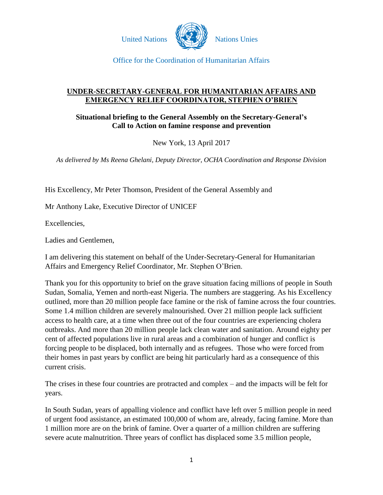

#### **UNDER-SECRETARY-GENERAL FOR HUMANITARIAN AFFAIRS AND EMERGENCY RELIEF COORDINATOR, STEPHEN O'BRIEN**

### **Situational briefing to the General Assembly on the Secretary-General's Call to Action on famine response and prevention**

New York, 13 April 2017

*As delivered by Ms Reena Ghelani, Deputy Director, OCHA Coordination and Response Division*

His Excellency, Mr Peter Thomson, President of the General Assembly and

Mr Anthony Lake, Executive Director of UNICEF

Excellencies,

Ladies and Gentlemen,

I am delivering this statement on behalf of the Under-Secretary-General for Humanitarian Affairs and Emergency Relief Coordinator, Mr. Stephen O'Brien.

Thank you for this opportunity to brief on the grave situation facing millions of people in South Sudan, Somalia, Yemen and north-east Nigeria. The numbers are staggering. As his Excellency outlined, more than 20 million people face famine or the risk of famine across the four countries. Some 1.4 million children are severely malnourished. Over 21 million people lack sufficient access to health care, at a time when three out of the four countries are experiencing cholera outbreaks. And more than 20 million people lack clean water and sanitation. Around eighty per cent of affected populations live in rural areas and a combination of hunger and conflict is forcing people to be displaced, both internally and as refugees. Those who were forced from their homes in past years by conflict are being hit particularly hard as a consequence of this current crisis.

The crises in these four countries are protracted and complex – and the impacts will be felt for years.

In South Sudan, years of appalling violence and conflict have left over 5 million people in need of urgent food assistance, an estimated 100,000 of whom are, already, facing famine. More than 1 million more are on the brink of famine. Over a quarter of a million children are suffering severe acute malnutrition. Three years of conflict has displaced some 3.5 million people,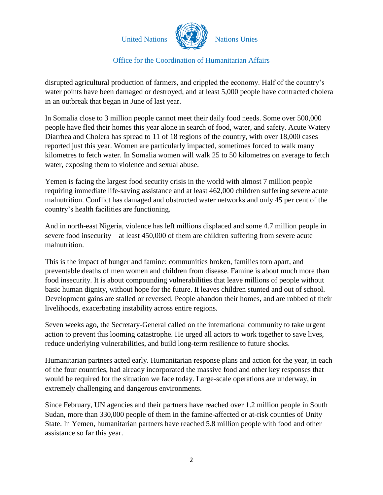

disrupted agricultural production of farmers, and crippled the economy. Half of the country's water points have been damaged or destroyed, and at least 5,000 people have contracted cholera in an outbreak that began in June of last year.

In Somalia close to 3 million people cannot meet their daily food needs. Some over 500,000 people have fled their homes this year alone in search of food, water, and safety. Acute Watery Diarrhea and Cholera has spread to 11 of 18 regions of the country, with over 18,000 cases reported just this year. Women are particularly impacted, sometimes forced to walk many kilometres to fetch water. In Somalia women will walk 25 to 50 kilometres on average to fetch water, exposing them to violence and sexual abuse.

Yemen is facing the largest food security crisis in the world with almost 7 million people requiring immediate life-saving assistance and at least 462,000 children suffering severe acute malnutrition. Conflict has damaged and obstructed water networks and only 45 per cent of the country's health facilities are functioning.

And in north-east Nigeria, violence has left millions displaced and some 4.7 million people in severe food insecurity – at least 450,000 of them are children suffering from severe acute malnutrition.

This is the impact of hunger and famine: communities broken, families torn apart, and preventable deaths of men women and children from disease. Famine is about much more than food insecurity. It is about compounding vulnerabilities that leave millions of people without basic human dignity, without hope for the future. It leaves children stunted and out of school. Development gains are stalled or reversed. People abandon their homes, and are robbed of their livelihoods, exacerbating instability across entire regions.

Seven weeks ago, the Secretary-General called on the international community to take urgent action to prevent this looming catastrophe. He urged all actors to work together to save lives, reduce underlying vulnerabilities, and build long-term resilience to future shocks.

Humanitarian partners acted early. Humanitarian response plans and action for the year, in each of the four countries, had already incorporated the massive food and other key responses that would be required for the situation we face today. Large-scale operations are underway, in extremely challenging and dangerous environments.

Since February, UN agencies and their partners have reached over 1.2 million people in South Sudan, more than 330,000 people of them in the famine-affected or at-risk counties of Unity State. In Yemen, humanitarian partners have reached 5.8 million people with food and other assistance so far this year.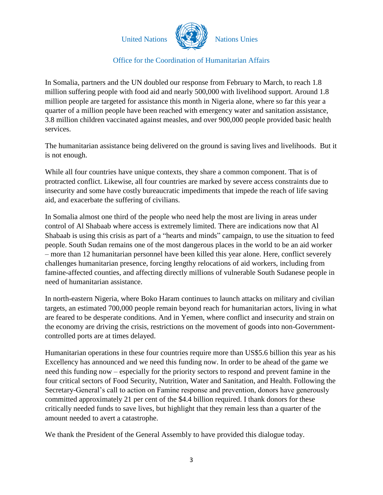

In Somalia, partners and the UN doubled our response from February to March, to reach 1.8 million suffering people with food aid and nearly 500,000 with livelihood support. Around 1.8 million people are targeted for assistance this month in Nigeria alone, where so far this year a quarter of a million people have been reached with emergency water and sanitation assistance, 3.8 million children vaccinated against measles, and over 900,000 people provided basic health services.

The humanitarian assistance being delivered on the ground is saving lives and livelihoods. But it is not enough.

While all four countries have unique contexts, they share a common component. That is of protracted conflict. Likewise, all four countries are marked by severe access constraints due to insecurity and some have costly bureaucratic impediments that impede the reach of life saving aid, and exacerbate the suffering of civilians.

In Somalia almost one third of the people who need help the most are living in areas under control of Al Shabaab where access is extremely limited. There are indications now that Al Shabaab is using this crisis as part of a "hearts and minds" campaign, to use the situation to feed people. South Sudan remains one of the most dangerous places in the world to be an aid worker – more than 12 humanitarian personnel have been killed this year alone. Here, conflict severely challenges humanitarian presence, forcing lengthy relocations of aid workers, including from famine-affected counties, and affecting directly millions of vulnerable South Sudanese people in need of humanitarian assistance.

In north-eastern Nigeria, where Boko Haram continues to launch attacks on military and civilian targets, an estimated 700,000 people remain beyond reach for humanitarian actors, living in what are feared to be desperate conditions. And in Yemen, where conflict and insecurity and strain on the economy are driving the crisis, restrictions on the movement of goods into non-Governmentcontrolled ports are at times delayed.

Humanitarian operations in these four countries require more than US\$5.6 billion this year as his Excellency has announced and we need this funding now. In order to be ahead of the game we need this funding now – especially for the priority sectors to respond and prevent famine in the four critical sectors of Food Security, Nutrition, Water and Sanitation, and Health. Following the Secretary-General's call to action on Famine response and prevention, donors have generously committed approximately 21 per cent of the \$4.4 billion required. I thank donors for these critically needed funds to save lives, but highlight that they remain less than a quarter of the amount needed to avert a catastrophe.

We thank the President of the General Assembly to have provided this dialogue today.